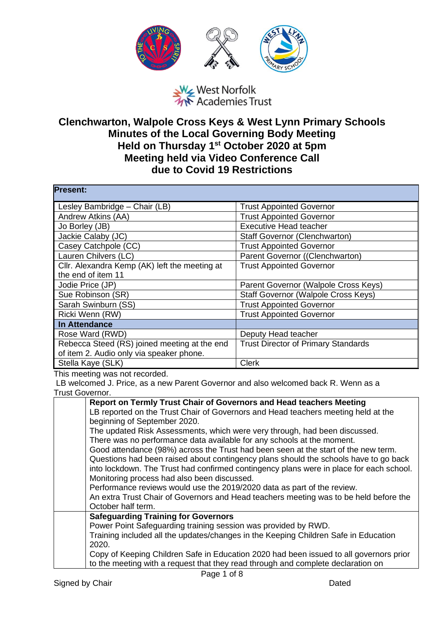

West Norfolk<br>West Norfolk<br>We Academies Trust

## **Clenchwarton, Walpole Cross Keys & West Lynn Primary Schools Minutes of the Local Governing Body Meeting Held on Thursday 1st October 2020 at 5pm Meeting held via Video Conference Call due to Covid 19 Restrictions**

| <b>Present:</b>                               |                                            |
|-----------------------------------------------|--------------------------------------------|
| Lesley Bambridge - Chair (LB)                 | <b>Trust Appointed Governor</b>            |
| Andrew Atkins (AA)                            | <b>Trust Appointed Governor</b>            |
| Jo Borley (JB)                                | <b>Executive Head teacher</b>              |
| Jackie Calaby (JC)                            | <b>Staff Governor (Clenchwarton)</b>       |
| Casey Catchpole (CC)                          | <b>Trust Appointed Governor</b>            |
| Lauren Chilvers (LC)                          | Parent Governor ((Clenchwarton)            |
| Cllr. Alexandra Kemp (AK) left the meeting at | <b>Trust Appointed Governor</b>            |
| the end of item 11                            |                                            |
| Jodie Price (JP)                              | Parent Governor (Walpole Cross Keys)       |
| Sue Robinson (SR)                             | Staff Governor (Walpole Cross Keys)        |
| Sarah Swinburn (SS)                           | <b>Trust Appointed Governor</b>            |
| Ricki Wenn (RW)                               | <b>Trust Appointed Governor</b>            |
| <b>In Attendance</b>                          |                                            |
| Rose Ward (RWD)                               | Deputy Head teacher                        |
| Rebecca Steed (RS) joined meeting at the end  | <b>Trust Director of Primary Standards</b> |
| of item 2. Audio only via speaker phone.      |                                            |
| Stella Kaye (SLK)                             | <b>Clerk</b>                               |

This meeting was not recorded.

LB welcomed J. Price, as a new Parent Governor and also welcomed back R. Wenn as a Trust Governor.

| Report on Termly Trust Chair of Governors and Head teachers Meeting                     |
|-----------------------------------------------------------------------------------------|
| LB reported on the Trust Chair of Governors and Head teachers meeting held at the       |
| beginning of September 2020.                                                            |
| The updated Risk Assessments, which were very through, had been discussed.              |
| There was no performance data available for any schools at the moment.                  |
| Good attendance (98%) across the Trust had been seen at the start of the new term.      |
| Questions had been raised about contingency plans should the schools have to go back    |
| into lockdown. The Trust had confirmed contingency plans were in place for each school. |
| Monitoring process had also been discussed.                                             |
| Performance reviews would use the 2019/2020 data as part of the review.                 |
| An extra Trust Chair of Governors and Head teachers meeting was to be held before the   |
| October half term.                                                                      |
| <b>Safeguarding Training for Governors</b>                                              |
| Power Point Safeguarding training session was provided by RWD.                          |
| Training included all the updates/changes in the Keeping Children Safe in Education     |
| 2020.                                                                                   |
| Copy of Keeping Children Safe in Education 2020 had been issued to all governors prior  |
| to the meeting with a request that they read through and complete declaration on        |
|                                                                                         |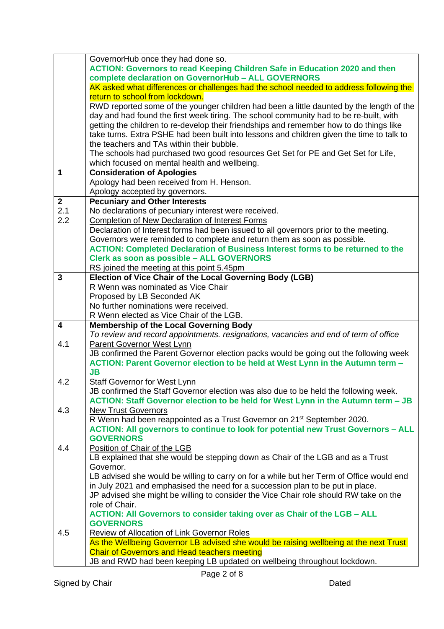|              | GovernorHub once they had done so.                                                        |
|--------------|-------------------------------------------------------------------------------------------|
|              | <b>ACTION: Governors to read Keeping Children Safe in Education 2020 and then</b>         |
|              | complete declaration on GovernorHub - ALL GOVERNORS                                       |
|              | AK asked what differences or challenges had the school needed to address following the    |
|              | return to school from lockdown.                                                           |
|              | RWD reported some of the younger children had been a little daunted by the length of the  |
|              | day and had found the first week tiring. The school community had to be re-built, with    |
|              | getting the children to re-develop their friendships and remember how to do things like   |
|              | take turns. Extra PSHE had been built into lessons and children given the time to talk to |
|              | the teachers and TAs within their bubble.                                                 |
|              | The schools had purchased two good resources Get Set for PE and Get Set for Life,         |
|              | which focused on mental health and wellbeing.                                             |
| 1            | <b>Consideration of Apologies</b>                                                         |
|              | Apology had been received from H. Henson.                                                 |
|              | Apology accepted by governors.                                                            |
| $\mathbf{2}$ | <b>Pecuniary and Other Interests</b>                                                      |
| 2.1          | No declarations of pecuniary interest were received.                                      |
| 2.2          | <b>Completion of New Declaration of Interest Forms</b>                                    |
|              | Declaration of Interest forms had been issued to all governors prior to the meeting.      |
|              | Governors were reminded to complete and return them as soon as possible.                  |
|              | <b>ACTION: Completed Declaration of Business Interest forms to be returned to the</b>     |
|              | Clerk as soon as possible - ALL GOVERNORS                                                 |
|              | RS joined the meeting at this point 5.45pm                                                |
| 3            | Election of Vice Chair of the Local Governing Body (LGB)                                  |
|              | R Wenn was nominated as Vice Chair                                                        |
|              | Proposed by LB Seconded AK                                                                |
|              | No further nominations were received.                                                     |
|              | R Wenn elected as Vice Chair of the LGB.                                                  |
| 4            | <b>Membership of the Local Governing Body</b>                                             |
|              | To review and record appointments. resignations, vacancies and end of term of office      |
| 4.1          | Parent Governor West Lynn                                                                 |
|              | JB confirmed the Parent Governor election packs would be going out the following week     |
|              | ACTION: Parent Governor election to be held at West Lynn in the Autumn term -             |
|              | JB                                                                                        |
| 4.2          | <b>Staff Governor for West Lynn</b>                                                       |
|              | JB confirmed the Staff Governor election was also due to be held the following week.      |
|              | ACTION: Staff Governor election to be held for West Lynn in the Autumn term - JB          |
| 4.3          | <b>New Trust Governors</b>                                                                |
|              | R Wenn had been reappointed as a Trust Governor on 21 <sup>st</sup> September 2020.       |
|              | <b>ACTION: All governors to continue to look for potential new Trust Governors - ALL</b>  |
|              | <b>GOVERNORS</b>                                                                          |
| 4.4          | Position of Chair of the LGB                                                              |
|              | LB explained that she would be stepping down as Chair of the LGB and as a Trust           |
|              | Governor.                                                                                 |
|              | LB advised she would be willing to carry on for a while but her Term of Office would end  |
|              | in July 2021 and emphasised the need for a succession plan to be put in place.            |
|              | JP advised she might be willing to consider the Vice Chair role should RW take on the     |
|              | role of Chair.                                                                            |
|              | ACTION: All Governors to consider taking over as Chair of the LGB - ALL                   |
|              | <b>GOVERNORS</b>                                                                          |
| 4.5          | <b>Review of Allocation of Link Governor Roles</b>                                        |
|              | As the Wellbeing Governor LB advised she would be raising wellbeing at the next Trust     |
|              | <b>Chair of Governors and Head teachers meeting</b>                                       |
|              | JB and RWD had been keeping LB updated on wellbeing throughout lockdown.                  |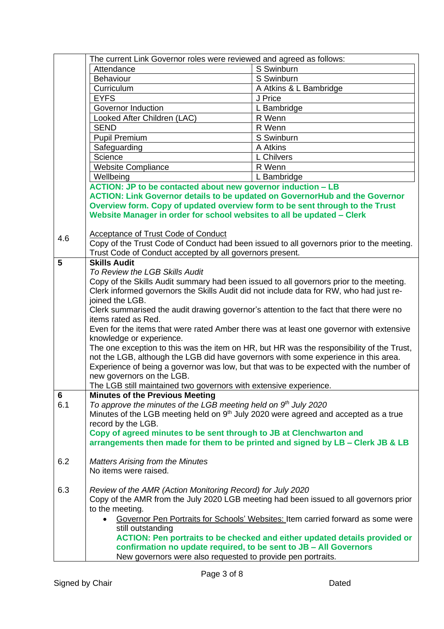|                | The current Link Governor roles were reviewed and agreed as follows:                            |                                                                                          |
|----------------|-------------------------------------------------------------------------------------------------|------------------------------------------------------------------------------------------|
|                | Attendance                                                                                      | S Swinburn                                                                               |
|                | Behaviour                                                                                       | S Swinburn                                                                               |
|                | Curriculum                                                                                      | A Atkins & L Bambridge                                                                   |
|                | <b>EYFS</b>                                                                                     | J Price                                                                                  |
|                | Governor Induction                                                                              | L Bambridge                                                                              |
|                | Looked After Children (LAC)                                                                     | R Wenn                                                                                   |
|                | <b>SEND</b>                                                                                     | R Wenn                                                                                   |
|                | <b>Pupil Premium</b>                                                                            | S Swinburn                                                                               |
|                | Safeguarding                                                                                    | A Atkins                                                                                 |
|                | Science                                                                                         | L Chilvers                                                                               |
|                | <b>Website Compliance</b>                                                                       | R Wenn                                                                                   |
|                | Wellbeing                                                                                       | L Bambridge                                                                              |
|                | <b>ACTION: JP to be contacted about new governor induction - LB</b>                             |                                                                                          |
|                | <b>ACTION: Link Governor details to be updated on GovernorHub and the Governor</b>              |                                                                                          |
|                | Overview form. Copy of updated overview form to be sent through to the Trust                    |                                                                                          |
|                | Website Manager in order for school websites to all be updated - Clerk                          |                                                                                          |
|                |                                                                                                 |                                                                                          |
| 4.6            | Acceptance of Trust Code of Conduct                                                             |                                                                                          |
|                | Trust Code of Conduct accepted by all governors present.                                        | Copy of the Trust Code of Conduct had been issued to all governors prior to the meeting. |
| 5              | <b>Skills Audit</b>                                                                             |                                                                                          |
|                | To Review the LGB Skills Audit                                                                  |                                                                                          |
|                | Copy of the Skills Audit summary had been issued to all governors prior to the meeting.         |                                                                                          |
|                | Clerk informed governors the Skills Audit did not include data for RW, who had just re-         |                                                                                          |
|                | joined the LGB.                                                                                 |                                                                                          |
|                | Clerk summarised the audit drawing governor's attention to the fact that there were no          |                                                                                          |
|                | items rated as Red.                                                                             |                                                                                          |
|                | Even for the items that were rated Amber there was at least one governor with extensive         |                                                                                          |
|                | knowledge or experience.                                                                        |                                                                                          |
|                | The one exception to this was the item on HR, but HR was the responsibility of the Trust,       |                                                                                          |
|                | not the LGB, although the LGB did have governors with some experience in this area.             |                                                                                          |
|                | Experience of being a governor was low, but that was to be expected with the number of          |                                                                                          |
|                | new governors on the LGB.                                                                       |                                                                                          |
|                | The LGB still maintained two governors with extensive experience.                               |                                                                                          |
| $6\phantom{1}$ | <b>Minutes of the Previous Meeting</b>                                                          |                                                                                          |
| 6.1            | To approve the minutes of the LGB meeting held on $9th$ July 2020                               |                                                                                          |
|                | Minutes of the LGB meeting held on 9 <sup>th</sup> July 2020 were agreed and accepted as a true |                                                                                          |
|                | record by the LGB.                                                                              |                                                                                          |
|                | Copy of agreed minutes to be sent through to JB at Clenchwarton and                             |                                                                                          |
|                | arrangements then made for them to be printed and signed by LB - Clerk JB & LB                  |                                                                                          |
|                |                                                                                                 |                                                                                          |
| 6.2            | <b>Matters Arising from the Minutes</b>                                                         |                                                                                          |
|                | No items were raised.                                                                           |                                                                                          |
|                |                                                                                                 |                                                                                          |
| 6.3            | Review of the AMR (Action Monitoring Record) for July 2020                                      |                                                                                          |
|                |                                                                                                 | Copy of the AMR from the July 2020 LGB meeting had been issued to all governors prior    |
|                | to the meeting.                                                                                 |                                                                                          |
|                |                                                                                                 | Governor Pen Portraits for Schools' Websites: Item carried forward as some were          |
|                | still outstanding                                                                               |                                                                                          |
|                |                                                                                                 | ACTION: Pen portraits to be checked and either updated details provided or               |
|                | confirmation no update required, to be sent to JB - All Governors                               |                                                                                          |
|                | New governors were also requested to provide pen portraits.                                     |                                                                                          |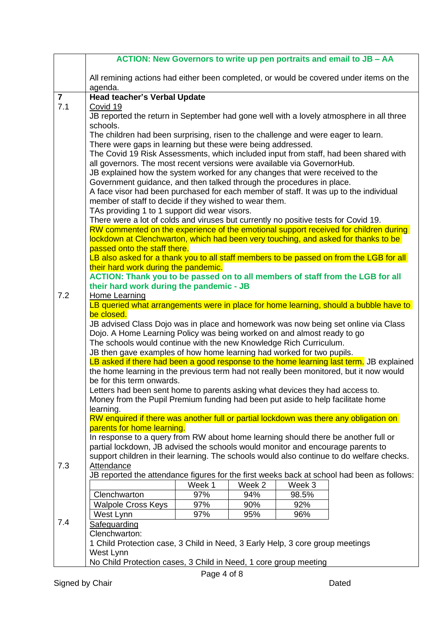|                |                                                                                                                                                                                                                                                                                                                                                                                                                                                                                                                                                                                     |                             |                             |                               | ACTION: New Governors to write up pen portraits and email to JB - AA |
|----------------|-------------------------------------------------------------------------------------------------------------------------------------------------------------------------------------------------------------------------------------------------------------------------------------------------------------------------------------------------------------------------------------------------------------------------------------------------------------------------------------------------------------------------------------------------------------------------------------|-----------------------------|-----------------------------|-------------------------------|----------------------------------------------------------------------|
|                | All remining actions had either been completed, or would be covered under items on the<br>agenda.                                                                                                                                                                                                                                                                                                                                                                                                                                                                                   |                             |                             |                               |                                                                      |
| $\overline{7}$ | Head teacher's Verbal Update                                                                                                                                                                                                                                                                                                                                                                                                                                                                                                                                                        |                             |                             |                               |                                                                      |
| 7.1            | Covid 19                                                                                                                                                                                                                                                                                                                                                                                                                                                                                                                                                                            |                             |                             |                               |                                                                      |
|                | JB reported the return in September had gone well with a lovely atmosphere in all three                                                                                                                                                                                                                                                                                                                                                                                                                                                                                             |                             |                             |                               |                                                                      |
|                | schools.                                                                                                                                                                                                                                                                                                                                                                                                                                                                                                                                                                            |                             |                             |                               |                                                                      |
|                | The children had been surprising, risen to the challenge and were eager to learn.                                                                                                                                                                                                                                                                                                                                                                                                                                                                                                   |                             |                             |                               |                                                                      |
|                | There were gaps in learning but these were being addressed.                                                                                                                                                                                                                                                                                                                                                                                                                                                                                                                         |                             |                             |                               |                                                                      |
|                | The Covid 19 Risk Assessments, which included input from staff, had been shared with<br>all governors. The most recent versions were available via GovernorHub.                                                                                                                                                                                                                                                                                                                                                                                                                     |                             |                             |                               |                                                                      |
|                | JB explained how the system worked for any changes that were received to the                                                                                                                                                                                                                                                                                                                                                                                                                                                                                                        |                             |                             |                               |                                                                      |
|                | Government guidance, and then talked through the procedures in place.                                                                                                                                                                                                                                                                                                                                                                                                                                                                                                               |                             |                             |                               |                                                                      |
|                | A face visor had been purchased for each member of staff. It was up to the individual                                                                                                                                                                                                                                                                                                                                                                                                                                                                                               |                             |                             |                               |                                                                      |
|                | member of staff to decide if they wished to wear them.                                                                                                                                                                                                                                                                                                                                                                                                                                                                                                                              |                             |                             |                               |                                                                      |
|                | TAs providing 1 to 1 support did wear visors.                                                                                                                                                                                                                                                                                                                                                                                                                                                                                                                                       |                             |                             |                               |                                                                      |
|                | There were a lot of colds and viruses but currently no positive tests for Covid 19.                                                                                                                                                                                                                                                                                                                                                                                                                                                                                                 |                             |                             |                               |                                                                      |
|                | RW commented on the experience of the emotional support received for children during                                                                                                                                                                                                                                                                                                                                                                                                                                                                                                |                             |                             |                               |                                                                      |
|                | lockdown at Clenchwarton, which had been very touching, and asked for thanks to be                                                                                                                                                                                                                                                                                                                                                                                                                                                                                                  |                             |                             |                               |                                                                      |
|                | passed onto the staff there.                                                                                                                                                                                                                                                                                                                                                                                                                                                                                                                                                        |                             |                             |                               |                                                                      |
|                | LB also asked for a thank you to all staff members to be passed on from the LGB for all<br>their hard work during the pandemic.                                                                                                                                                                                                                                                                                                                                                                                                                                                     |                             |                             |                               |                                                                      |
|                | ACTION: Thank you to be passed on to all members of staff from the LGB for all                                                                                                                                                                                                                                                                                                                                                                                                                                                                                                      |                             |                             |                               |                                                                      |
|                | their hard work during the pandemic - JB                                                                                                                                                                                                                                                                                                                                                                                                                                                                                                                                            |                             |                             |                               |                                                                      |
| 7.2            | Home Learning                                                                                                                                                                                                                                                                                                                                                                                                                                                                                                                                                                       |                             |                             |                               |                                                                      |
|                | LB queried what arrangements were in place for home learning, should a bubble have to                                                                                                                                                                                                                                                                                                                                                                                                                                                                                               |                             |                             |                               |                                                                      |
|                | be closed.                                                                                                                                                                                                                                                                                                                                                                                                                                                                                                                                                                          |                             |                             |                               |                                                                      |
|                | JB advised Class Dojo was in place and homework was now being set online via Class                                                                                                                                                                                                                                                                                                                                                                                                                                                                                                  |                             |                             |                               |                                                                      |
|                | Dojo. A Home Learning Policy was being worked on and almost ready to go<br>The schools would continue with the new Knowledge Rich Curriculum.                                                                                                                                                                                                                                                                                                                                                                                                                                       |                             |                             |                               |                                                                      |
|                | JB then gave examples of how home learning had worked for two pupils.                                                                                                                                                                                                                                                                                                                                                                                                                                                                                                               |                             |                             |                               |                                                                      |
|                | LB asked if there had been a good response to the home learning last term. JB explained                                                                                                                                                                                                                                                                                                                                                                                                                                                                                             |                             |                             |                               |                                                                      |
|                | the home learning in the previous term had not really been monitored, but it now would                                                                                                                                                                                                                                                                                                                                                                                                                                                                                              |                             |                             |                               |                                                                      |
|                | be for this term onwards.                                                                                                                                                                                                                                                                                                                                                                                                                                                                                                                                                           |                             |                             |                               |                                                                      |
|                | Letters had been sent home to parents asking what devices they had access to.                                                                                                                                                                                                                                                                                                                                                                                                                                                                                                       |                             |                             |                               |                                                                      |
|                | Money from the Pupil Premium funding had been put aside to help facilitate home                                                                                                                                                                                                                                                                                                                                                                                                                                                                                                     |                             |                             |                               |                                                                      |
|                |                                                                                                                                                                                                                                                                                                                                                                                                                                                                                                                                                                                     |                             |                             |                               |                                                                      |
|                |                                                                                                                                                                                                                                                                                                                                                                                                                                                                                                                                                                                     |                             |                             |                               |                                                                      |
|                |                                                                                                                                                                                                                                                                                                                                                                                                                                                                                                                                                                                     |                             |                             |                               |                                                                      |
|                |                                                                                                                                                                                                                                                                                                                                                                                                                                                                                                                                                                                     |                             |                             |                               |                                                                      |
|                | support children in their learning. The schools would also continue to do welfare checks.                                                                                                                                                                                                                                                                                                                                                                                                                                                                                           |                             |                             |                               |                                                                      |
| 7.3            | Attendance                                                                                                                                                                                                                                                                                                                                                                                                                                                                                                                                                                          |                             |                             |                               |                                                                      |
|                |                                                                                                                                                                                                                                                                                                                                                                                                                                                                                                                                                                                     |                             |                             |                               |                                                                      |
|                |                                                                                                                                                                                                                                                                                                                                                                                                                                                                                                                                                                                     |                             |                             |                               |                                                                      |
|                |                                                                                                                                                                                                                                                                                                                                                                                                                                                                                                                                                                                     |                             |                             |                               |                                                                      |
|                |                                                                                                                                                                                                                                                                                                                                                                                                                                                                                                                                                                                     |                             |                             |                               |                                                                      |
|                |                                                                                                                                                                                                                                                                                                                                                                                                                                                                                                                                                                                     |                             |                             |                               |                                                                      |
|                |                                                                                                                                                                                                                                                                                                                                                                                                                                                                                                                                                                                     |                             |                             |                               |                                                                      |
|                |                                                                                                                                                                                                                                                                                                                                                                                                                                                                                                                                                                                     |                             |                             |                               |                                                                      |
|                | West Lynn                                                                                                                                                                                                                                                                                                                                                                                                                                                                                                                                                                           |                             |                             |                               |                                                                      |
|                | No Child Protection cases, 3 Child in Need, 1 core group meeting                                                                                                                                                                                                                                                                                                                                                                                                                                                                                                                    |                             |                             |                               |                                                                      |
| 7.4            | learning.<br>RW enquired if there was another full or partial lockdown was there any obligation on<br>parents for home learning.<br>In response to a query from RW about home learning should there be another full or<br>partial lockdown, JB advised the schools would monitor and encourage parents to<br>JB reported the attendance figures for the first weeks back at school had been as follows:<br>Clenchwarton<br><b>Walpole Cross Keys</b><br>West Lynn<br>Safeguarding<br>Clenchwarton:<br>1 Child Protection case, 3 Child in Need, 3 Early Help, 3 core group meetings | Week 1<br>97%<br>97%<br>97% | Week 2<br>94%<br>90%<br>95% | Week 3<br>98.5%<br>92%<br>96% |                                                                      |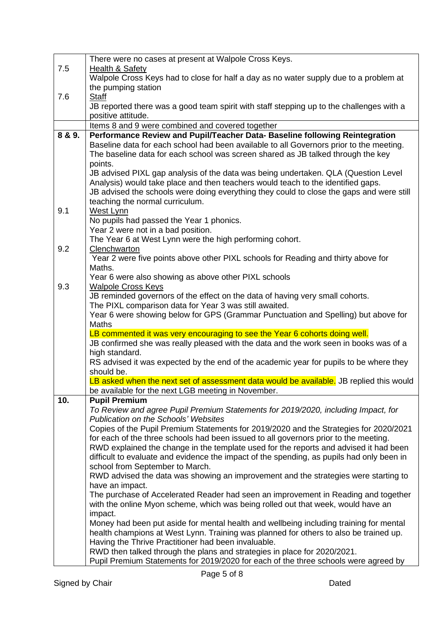|        | There were no cases at present at Walpole Cross Keys.                                                 |
|--------|-------------------------------------------------------------------------------------------------------|
| 7.5    | Health & Safety                                                                                       |
|        | Walpole Cross Keys had to close for half a day as no water supply due to a problem at                 |
|        | the pumping station                                                                                   |
| 7.6    | Staff                                                                                                 |
|        | JB reported there was a good team spirit with staff stepping up to the challenges with a              |
|        | positive attitude.                                                                                    |
|        | Items 8 and 9 were combined and covered together                                                      |
| 8 & 9. | Performance Review and Pupil/Teacher Data- Baseline following Reintegration                           |
|        | Baseline data for each school had been available to all Governors prior to the meeting.               |
|        | The baseline data for each school was screen shared as JB talked through the key                      |
|        | points.<br>JB advised PIXL gap analysis of the data was being undertaken. QLA (Question Level         |
|        | Analysis) would take place and then teachers would teach to the identified gaps.                      |
|        | JB advised the schools were doing everything they could to close the gaps and were still              |
|        | teaching the normal curriculum.                                                                       |
| 9.1    | West Lynn                                                                                             |
|        | No pupils had passed the Year 1 phonics.                                                              |
|        | Year 2 were not in a bad position.                                                                    |
|        | The Year 6 at West Lynn were the high performing cohort.                                              |
| 9.2    | Clenchwarton                                                                                          |
|        | Year 2 were five points above other PIXL schools for Reading and thirty above for                     |
|        | Maths.                                                                                                |
|        | Year 6 were also showing as above other PIXL schools                                                  |
| 9.3    | <b>Walpole Cross Keys</b>                                                                             |
|        | JB reminded governors of the effect on the data of having very small cohorts.                         |
|        | The PIXL comparison data for Year 3 was still awaited.                                                |
|        | Year 6 were showing below for GPS (Grammar Punctuation and Spelling) but above for                    |
|        | <b>Maths</b><br>LB commented it was very encouraging to see the Year 6 cohorts doing well.            |
|        | JB confirmed she was really pleased with the data and the work seen in books was of a                 |
|        | high standard.                                                                                        |
|        | RS advised it was expected by the end of the academic year for pupils to be where they                |
|        | should be.                                                                                            |
|        | LB asked when the next set of assessment data would be available. JB replied this would               |
|        | be available for the next LGB meeting in November.                                                    |
| 10.    | <b>Pupil Premium</b>                                                                                  |
|        | To Review and agree Pupil Premium Statements for 2019/2020, including Impact, for                     |
|        | <b>Publication on the Schools' Websites</b>                                                           |
|        | Copies of the Pupil Premium Statements for 2019/2020 and the Strategies for 2020/2021                 |
|        | for each of the three schools had been issued to all governors prior to the meeting.                  |
|        | RWD explained the change in the template used for the reports and advised it had been                 |
|        | difficult to evaluate and evidence the impact of the spending, as pupils had only been in             |
|        | school from September to March.                                                                       |
|        | RWD advised the data was showing an improvement and the strategies were starting to                   |
|        | have an impact.<br>The purchase of Accelerated Reader had seen an improvement in Reading and together |
|        | with the online Myon scheme, which was being rolled out that week, would have an                      |
|        | impact.                                                                                               |
|        | Money had been put aside for mental health and wellbeing including training for mental                |
|        | health champions at West Lynn. Training was planned for others to also be trained up.                 |
|        | Having the Thrive Practitioner had been invaluable.                                                   |
|        | RWD then talked through the plans and strategies in place for 2020/2021.                              |
|        | Pupil Premium Statements for 2019/2020 for each of the three schools were agreed by                   |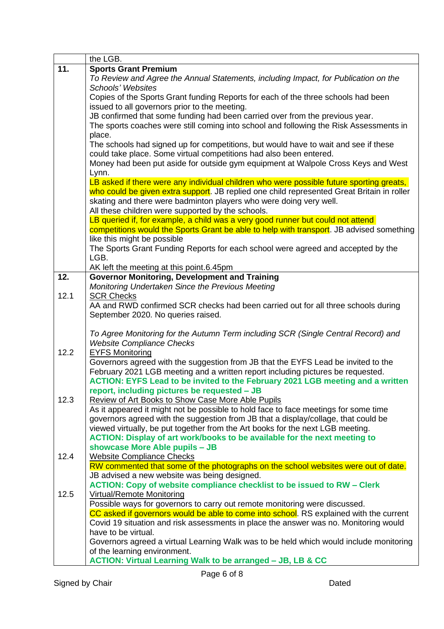|      | the LGB.                                                                                   |
|------|--------------------------------------------------------------------------------------------|
| 11.  | <b>Sports Grant Premium</b>                                                                |
|      | To Review and Agree the Annual Statements, including Impact, for Publication on the        |
|      | <b>Schools' Websites</b>                                                                   |
|      | Copies of the Sports Grant funding Reports for each of the three schools had been          |
|      | issued to all governors prior to the meeting.                                              |
|      | JB confirmed that some funding had been carried over from the previous year.               |
|      | The sports coaches were still coming into school and following the Risk Assessments in     |
|      | place.                                                                                     |
|      | The schools had signed up for competitions, but would have to wait and see if these        |
|      | could take place. Some virtual competitions had also been entered.                         |
|      | Money had been put aside for outside gym equipment at Walpole Cross Keys and West          |
|      | Lynn.                                                                                      |
|      | LB asked if there were any individual children who were possible future sporting greats,   |
|      | who could be given extra support. JB replied one child represented Great Britain in roller |
|      | skating and there were badminton players who were doing very well.                         |
|      | All these children were supported by the schools.                                          |
|      | LB queried if, for example, a child was a very good runner but could not attend            |
|      | competitions would the Sports Grant be able to help with transport. JB advised something   |
|      | like this might be possible                                                                |
|      | The Sports Grant Funding Reports for each school were agreed and accepted by the           |
|      | LGB.                                                                                       |
|      | AK left the meeting at this point.6.45pm                                                   |
| 12.  | <b>Governor Monitoring, Development and Training</b>                                       |
|      | Monitoring Undertaken Since the Previous Meeting                                           |
| 12.1 | <b>SCR Checks</b>                                                                          |
|      | AA and RWD confirmed SCR checks had been carried out for all three schools during          |
|      | September 2020. No queries raised.                                                         |
|      |                                                                                            |
|      | To Agree Monitoring for the Autumn Term including SCR (Single Central Record) and          |
|      | <b>Website Compliance Checks</b>                                                           |
| 12.2 | <b>EYFS Monitoring</b>                                                                     |
|      | Governors agreed with the suggestion from JB that the EYFS Lead be invited to the          |
|      | February 2021 LGB meeting and a written report including pictures be requested.            |
|      | ACTION: EYFS Lead to be invited to the February 2021 LGB meeting and a written             |
|      | report, including pictures be requested – JB                                               |
| 12.3 | <b>Review of Art Books to Show Case More Able Pupils</b>                                   |
|      | As it appeared it might not be possible to hold face to face meetings for some time        |
|      | governors agreed with the suggestion from JB that a display/collage, that could be         |
|      | viewed virtually, be put together from the Art books for the next LGB meeting.             |
|      | ACTION: Display of art work/books to be available for the next meeting to                  |
|      | showcase More Able pupils - JB                                                             |
| 12.4 | <b>Website Compliance Checks</b>                                                           |
|      | RW commented that some of the photographs on the school websites were out of date.         |
|      | JB advised a new website was being designed.                                               |
|      | ACTION: Copy of website compliance checklist to be issued to RW - Clerk                    |
| 12.5 | <b>Virtual/Remote Monitoring</b>                                                           |
|      | Possible ways for governors to carry out remote monitoring were discussed.                 |
|      | CC asked if governors would be able to come into school. RS explained with the current     |
|      | Covid 19 situation and risk assessments in place the answer was no. Monitoring would       |
|      | have to be virtual.                                                                        |
|      | Governors agreed a virtual Learning Walk was to be held which would include monitoring     |
|      | of the learning environment.                                                               |
|      | <b>ACTION: Virtual Learning Walk to be arranged - JB, LB &amp; CC</b>                      |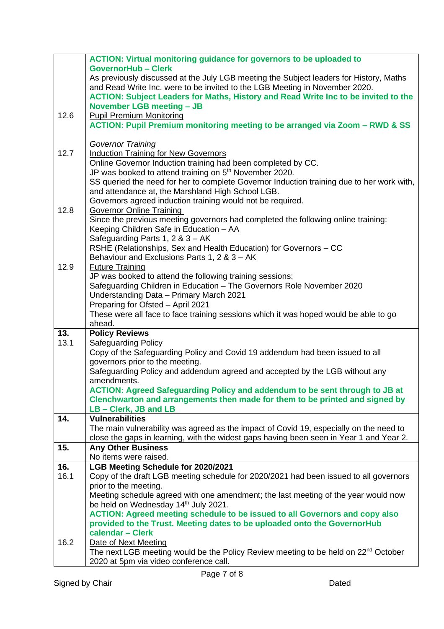|      | <b>ACTION: Virtual monitoring guidance for governors to be uploaded to</b>                                                               |
|------|------------------------------------------------------------------------------------------------------------------------------------------|
|      | <b>GovernorHub - Clerk</b>                                                                                                               |
|      | As previously discussed at the July LGB meeting the Subject leaders for History, Maths                                                   |
|      | and Read Write Inc. were to be invited to the LGB Meeting in November 2020.                                                              |
|      | ACTION: Subject Leaders for Maths, History and Read Write Inc to be invited to the                                                       |
|      | <b>November LGB meeting - JB</b>                                                                                                         |
| 12.6 | <b>Pupil Premium Monitoring</b>                                                                                                          |
|      | ACTION: Pupil Premium monitoring meeting to be arranged via Zoom - RWD & SS                                                              |
|      |                                                                                                                                          |
|      | <b>Governor Training</b>                                                                                                                 |
| 12.7 | <b>Induction Training for New Governors</b>                                                                                              |
|      | Online Governor Induction training had been completed by CC.                                                                             |
|      | JP was booked to attend training on 5 <sup>th</sup> November 2020.                                                                       |
|      | SS queried the need for her to complete Governor Induction training due to her work with,                                                |
|      | and attendance at, the Marshland High School LGB.                                                                                        |
| 12.8 | Governors agreed induction training would not be required.<br><b>Governor Online Training</b>                                            |
|      | Since the previous meeting governors had completed the following online training:                                                        |
|      | Keeping Children Safe in Education - AA                                                                                                  |
|      | Safeguarding Parts 1, 2 & 3 - AK                                                                                                         |
|      | RSHE (Relationships, Sex and Health Education) for Governors - CC                                                                        |
|      | Behaviour and Exclusions Parts 1, 2 & 3 - AK                                                                                             |
| 12.9 | <b>Future Training</b>                                                                                                                   |
|      | JP was booked to attend the following training sessions:                                                                                 |
|      | Safeguarding Children in Education - The Governors Role November 2020                                                                    |
|      | Understanding Data - Primary March 2021                                                                                                  |
|      | Preparing for Ofsted - April 2021                                                                                                        |
|      | These were all face to face training sessions which it was hoped would be able to go                                                     |
|      | ahead.                                                                                                                                   |
| 13.  | <b>Policy Reviews</b>                                                                                                                    |
| 13.1 | <b>Safeguarding Policy</b>                                                                                                               |
|      | Copy of the Safeguarding Policy and Covid 19 addendum had been issued to all                                                             |
|      | governors prior to the meeting.                                                                                                          |
|      | Safeguarding Policy and addendum agreed and accepted by the LGB without any<br>amendments.                                               |
|      | <b>ACTION: Agreed Safeguarding Policy and addendum to be sent through to JB at</b>                                                       |
|      | Clenchwarton and arrangements then made for them to be printed and signed by                                                             |
|      | LB - Clerk, JB and LB                                                                                                                    |
| 14.  | <b>Vulnerabilities</b>                                                                                                                   |
|      | The main vulnerability was agreed as the impact of Covid 19, especially on the need to                                                   |
|      | close the gaps in learning, with the widest gaps having been seen in Year 1 and Year 2.                                                  |
| 15.  | <b>Any Other Business</b>                                                                                                                |
|      | No items were raised.                                                                                                                    |
| 16.  | LGB Meeting Schedule for 2020/2021                                                                                                       |
| 16.1 | Copy of the draft LGB meeting schedule for 2020/2021 had been issued to all governors                                                    |
|      | prior to the meeting.                                                                                                                    |
|      | Meeting schedule agreed with one amendment; the last meeting of the year would now                                                       |
|      | be held on Wednesday 14 <sup>th</sup> July 2021.                                                                                         |
|      | <b>ACTION: Agreed meeting schedule to be issued to all Governors and copy also</b>                                                       |
|      | provided to the Trust. Meeting dates to be uploaded onto the GovernorHub                                                                 |
|      | calendar - Clerk                                                                                                                         |
| 16.2 | Date of Next Meeting                                                                                                                     |
|      | The next LGB meeting would be the Policy Review meeting to be held on 22 <sup>nd</sup> October<br>2020 at 5pm via video conference call. |
|      |                                                                                                                                          |